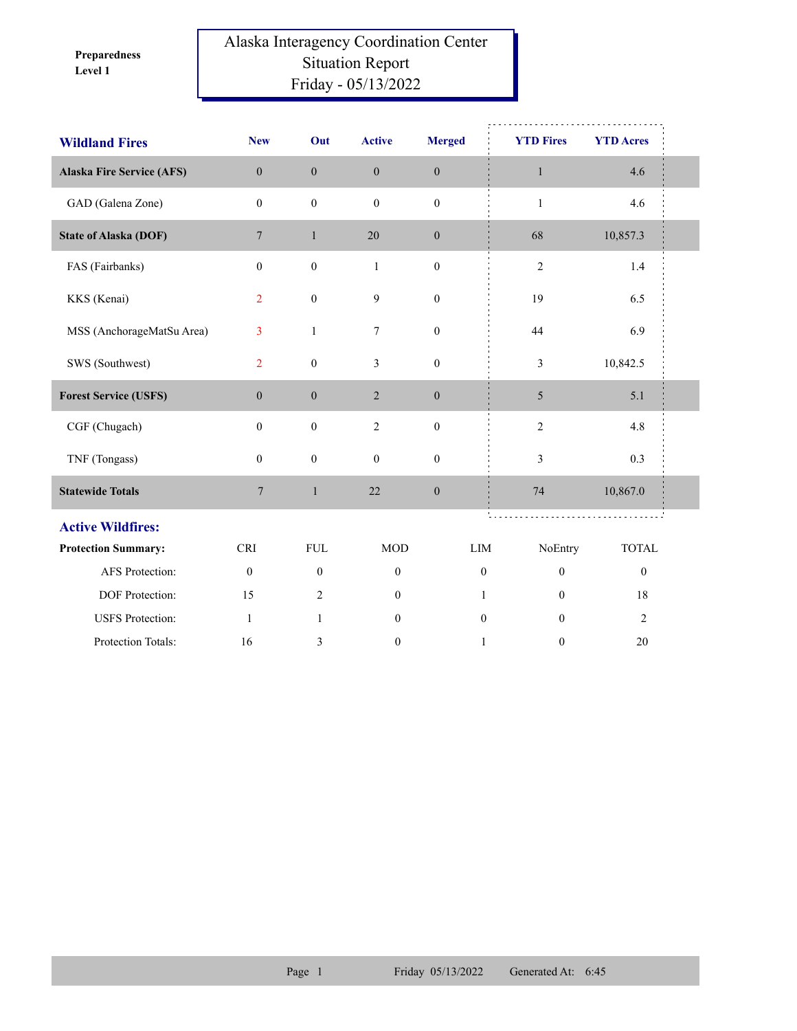**Level 1 Preparedness** 

## Alaska Interagency Coordination Center Situation Report Friday - 05/13/2022

| <b>Wildland Fires</b>            | <b>New</b>       | Out              | <b>Active</b>    | <b>Merged</b>    | <b>YTD Fires</b> | <b>YTD Acres</b> |  |
|----------------------------------|------------------|------------------|------------------|------------------|------------------|------------------|--|
| <b>Alaska Fire Service (AFS)</b> | $\mathbf{0}$     | $\boldsymbol{0}$ | $\boldsymbol{0}$ | $\mathbf{0}$     | $\mathbf{1}$     | 4.6              |  |
| GAD (Galena Zone)                | $\mathbf{0}$     | $\boldsymbol{0}$ | $\mathbf{0}$     | $\boldsymbol{0}$ | $\mathbf{1}$     | 4.6              |  |
| <b>State of Alaska (DOF)</b>     | $\overline{7}$   | $\mathbf{1}$     | 20               | $\boldsymbol{0}$ | 68               | 10,857.3         |  |
| FAS (Fairbanks)                  | $\boldsymbol{0}$ | $\boldsymbol{0}$ | $\mathbf{1}$     | $\boldsymbol{0}$ | $\mathfrak{2}$   | 1.4              |  |
| KKS (Kenai)                      | $\overline{2}$   | $\boldsymbol{0}$ | 9                | $\boldsymbol{0}$ | 19               | 6.5              |  |
| MSS (AnchorageMatSu Area)        | 3                | $\mathbf{1}$     | 7                | $\boldsymbol{0}$ | 44               | 6.9              |  |
| SWS (Southwest)                  | $\overline{2}$   | $\boldsymbol{0}$ | 3                | $\boldsymbol{0}$ | 3                | 10,842.5         |  |
| <b>Forest Service (USFS)</b>     | $\boldsymbol{0}$ | $\boldsymbol{0}$ | $\overline{2}$   | $\boldsymbol{0}$ | 5                | 5.1              |  |
| CGF (Chugach)                    | $\boldsymbol{0}$ | $\mathbf{0}$     | $\overline{2}$   | $\mathbf{0}$     | $\overline{c}$   | 4.8              |  |
| TNF (Tongass)                    | $\mathbf{0}$     | $\boldsymbol{0}$ | $\boldsymbol{0}$ | $\boldsymbol{0}$ | $\mathfrak{Z}$   | 0.3              |  |
| <b>Statewide Totals</b>          | $7\phantom{.0}$  | $\mathbf{1}$     | 22               | $\boldsymbol{0}$ | 74               | 10,867.0         |  |
| <b>Active Wildfires:</b>         |                  |                  |                  |                  |                  |                  |  |
| <b>Protection Summary:</b>       | <b>CRI</b>       | <b>FUL</b>       | <b>MOD</b>       | LIM              | NoEntry          | <b>TOTAL</b>     |  |
| AFS Protection:                  | $\boldsymbol{0}$ | $\boldsymbol{0}$ | $\boldsymbol{0}$ | $\overline{0}$   | $\boldsymbol{0}$ | $\boldsymbol{0}$ |  |
| DOF Protection:                  | 15               | 2                | $\mathbf{0}$     | 1                | $\mathbf{0}$     | 18               |  |
| <b>USFS</b> Protection:          | $\mathbf{1}$     | $\mathbf{1}$     | $\mathbf{0}$     | $\theta$         | $\theta$         | $\overline{2}$   |  |
| Protection Totals:               | 16               | 3                | $\mathbf{0}$     | $\mathbf{1}$     | $\mathbf{0}$     | 20               |  |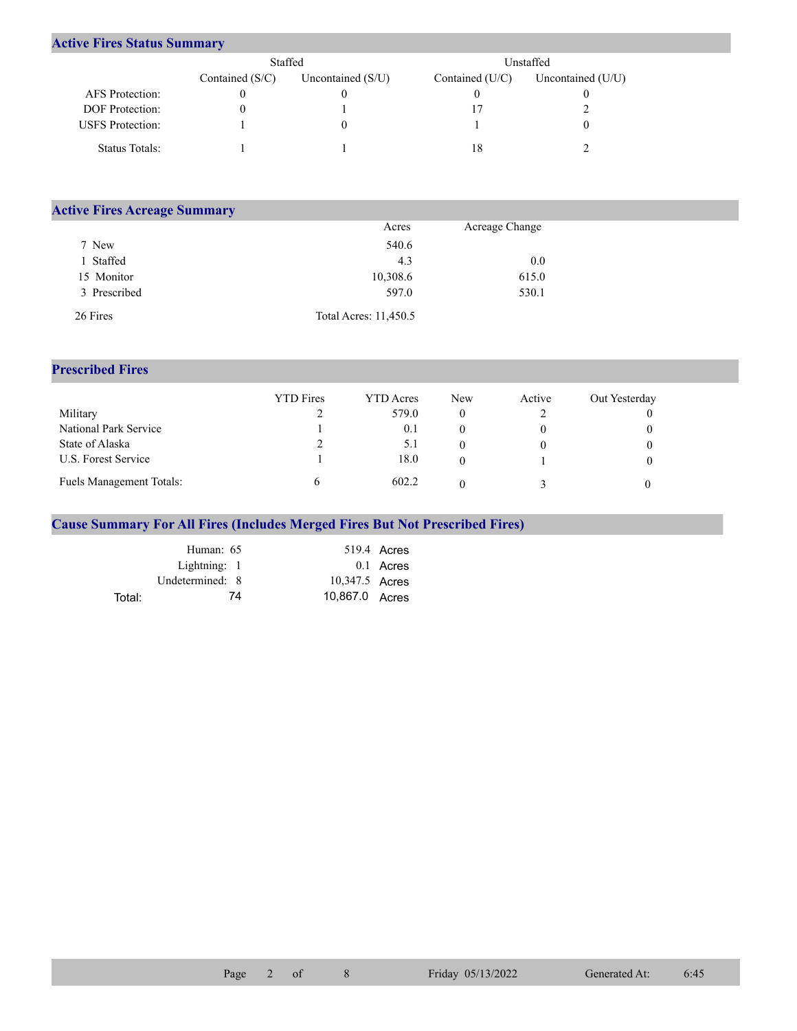## **Active Fires Status Summary**

|                         | Staffed           |                     | Unstaffed         |                   |  |  |
|-------------------------|-------------------|---------------------|-------------------|-------------------|--|--|
|                         | Contained $(S/C)$ | Uncontained $(S/U)$ | Contained $(U/C)$ | Uncontained (U/U) |  |  |
| AFS Protection:         |                   |                     |                   |                   |  |  |
| DOF Protection:         |                   |                     |                   |                   |  |  |
| <b>USFS</b> Protection: |                   |                     |                   |                   |  |  |
| Status Totals:          |                   |                     | 18                |                   |  |  |

| <b>Active Fires Acreage Summary</b> |                       |                |  |
|-------------------------------------|-----------------------|----------------|--|
|                                     | Acres                 | Acreage Change |  |
| 7 New                               | 540.6                 |                |  |
| l Staffed                           | 4.3                   | 0.0            |  |
| 15 Monitor                          | 10,308.6              | 615.0          |  |
| 3 Prescribed                        | 597.0                 | 530.1          |  |
| 26 Fires                            | Total Acres: 11,450.5 |                |  |

## **Prescribed Fires**

|                                 | <b>YTD</b> Fires | <b>YTD</b> Acres | New | Active | Out Yesterday |
|---------------------------------|------------------|------------------|-----|--------|---------------|
| Military                        |                  | 579.0            |     |        |               |
| National Park Service           |                  | 0.1              |     |        |               |
| State of Alaska                 |                  | 5.1              |     |        |               |
| U.S. Forest Service             |                  | 18.0             |     |        |               |
| <b>Fuels Management Totals:</b> |                  | 602.2            |     |        |               |

## **Cause Summary For All Fires (Includes Merged Fires But Not Prescribed Fires)**

|        | Human: 65       |                | 519.4 Acres |
|--------|-----------------|----------------|-------------|
|        | Lightning: 1    |                | $0.1$ Acres |
|        | Undetermined: 8 | 10,347.5 Acres |             |
| Total: | 74              | 10,867.0 Acres |             |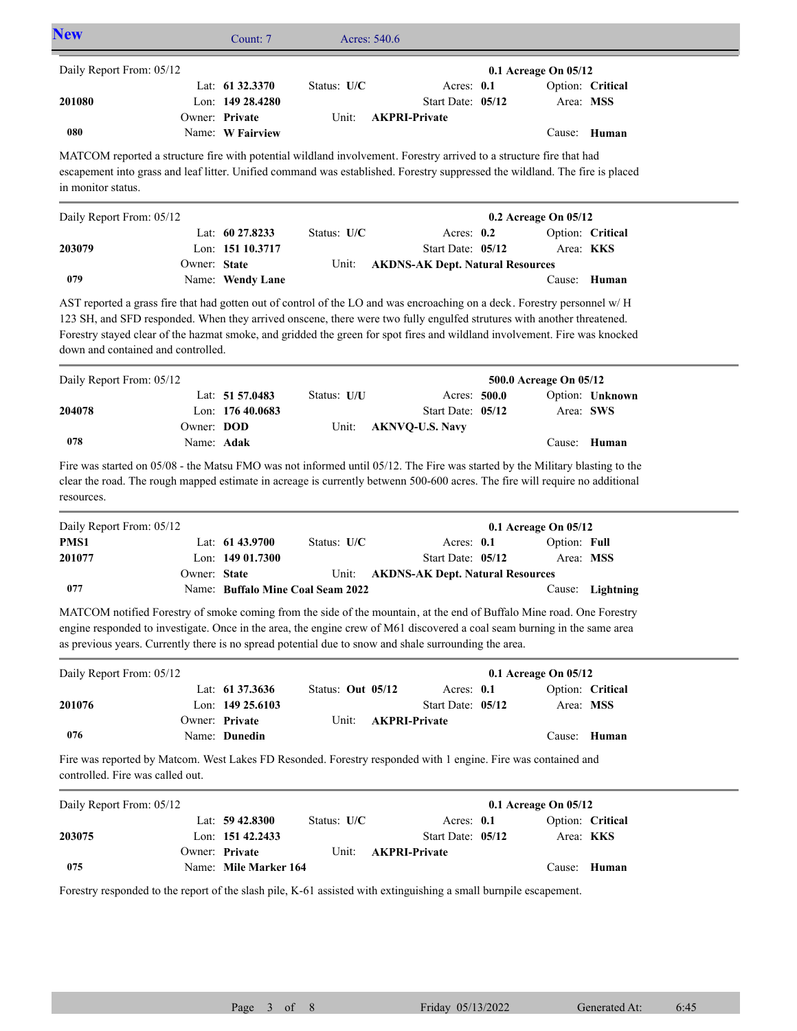| <b>New</b>                                                                                                                                                                                                                                                                                                                                                  |              | Count: 7                           |                   | Acres: 540.6 |                                         |                        |                  |
|-------------------------------------------------------------------------------------------------------------------------------------------------------------------------------------------------------------------------------------------------------------------------------------------------------------------------------------------------------------|--------------|------------------------------------|-------------------|--------------|-----------------------------------------|------------------------|------------------|
| Daily Report From: 05/12                                                                                                                                                                                                                                                                                                                                    |              |                                    |                   |              |                                         | 0.1 Acreage On 05/12   |                  |
|                                                                                                                                                                                                                                                                                                                                                             |              | Lat: 61 32.3370                    | Status: U/C       |              | Acres: 0.1                              |                        | Option: Critical |
| 201080                                                                                                                                                                                                                                                                                                                                                      |              | Lon: 149 28.4280                   |                   |              | Start Date: 05/12                       | Area: MSS              |                  |
| 080                                                                                                                                                                                                                                                                                                                                                         |              | Owner: Private<br>Name: W Fairview | Unit:             |              | <b>AKPRI-Private</b>                    |                        | Cause: Human     |
| MATCOM reported a structure fire with potential wildland involvement. Forestry arrived to a structure fire that had                                                                                                                                                                                                                                         |              |                                    |                   |              |                                         |                        |                  |
| escapement into grass and leaf litter. Unified command was established. Forestry suppressed the wildland. The fire is placed<br>in monitor status.                                                                                                                                                                                                          |              |                                    |                   |              |                                         |                        |                  |
| Daily Report From: 05/12                                                                                                                                                                                                                                                                                                                                    |              |                                    |                   |              |                                         | 0.2 Acreage On 05/12   |                  |
|                                                                                                                                                                                                                                                                                                                                                             |              | Lat: $60\,27.8233$                 | Status: U/C       |              | Acres: $0.2$                            |                        | Option: Critical |
| 203079                                                                                                                                                                                                                                                                                                                                                      |              | Lon: 151 10.3717                   |                   |              | Start Date: 05/12                       | Area: KKS              |                  |
|                                                                                                                                                                                                                                                                                                                                                             | Owner: State |                                    | Unit:             |              | <b>AKDNS-AK Dept. Natural Resources</b> |                        |                  |
| 079                                                                                                                                                                                                                                                                                                                                                         |              | Name: Wendy Lane                   |                   |              |                                         |                        | Cause: Human     |
| AST reported a grass fire that had gotten out of control of the LO and was encroaching on a deck. Forestry personnel w/H                                                                                                                                                                                                                                    |              |                                    |                   |              |                                         |                        |                  |
| 123 SH, and SFD responded. When they arrived onscene, there were two fully engulfed strutures with another threatened.                                                                                                                                                                                                                                      |              |                                    |                   |              |                                         |                        |                  |
| Forestry stayed clear of the hazmat smoke, and gridded the green for spot fires and wildland involvement. Fire was knocked                                                                                                                                                                                                                                  |              |                                    |                   |              |                                         |                        |                  |
| down and contained and controlled.                                                                                                                                                                                                                                                                                                                          |              |                                    |                   |              |                                         |                        |                  |
| Daily Report From: 05/12                                                                                                                                                                                                                                                                                                                                    |              |                                    |                   |              |                                         | 500.0 Acreage On 05/12 |                  |
|                                                                                                                                                                                                                                                                                                                                                             |              | Lat: 51 57.0483                    | Status: U/U       |              | Acres: 500.0                            |                        | Option: Unknown  |
| 204078                                                                                                                                                                                                                                                                                                                                                      |              | Lon: 176 40.0683                   |                   |              | Start Date: 05/12                       | Area: SWS              |                  |
|                                                                                                                                                                                                                                                                                                                                                             | Owner: DOD   |                                    | Unit:             |              | <b>AKNVQ-U.S. Navy</b>                  |                        |                  |
| 078                                                                                                                                                                                                                                                                                                                                                         | Name: Adak   |                                    |                   |              |                                         |                        | Cause: Human     |
| Fire was started on 05/08 - the Matsu FMO was not informed until 05/12. The Fire was started by the Military blasting to the<br>clear the road. The rough mapped estimate in acreage is currently betwenn 500-600 acres. The fire will require no additional<br>resources.                                                                                  |              |                                    |                   |              |                                         |                        |                  |
| Daily Report From: 05/12                                                                                                                                                                                                                                                                                                                                    |              |                                    |                   |              |                                         | 0.1 Acreage On 05/12   |                  |
| PMS1                                                                                                                                                                                                                                                                                                                                                        |              | Lat: 61 43.9700                    | Status: U/C       |              | Acres: 0.1                              | Option: Full           |                  |
| 201077                                                                                                                                                                                                                                                                                                                                                      |              | Lon: 149 01.7300                   |                   |              | Start Date: 05/12                       | Area: MSS              |                  |
|                                                                                                                                                                                                                                                                                                                                                             | Owner: State |                                    | Unit:             |              | <b>AKDNS-AK Dept. Natural Resources</b> |                        |                  |
| 077                                                                                                                                                                                                                                                                                                                                                         |              | Name: Buffalo Mine Coal Seam 2022  |                   |              |                                         |                        | Cause: Lightning |
| MATCOM notified Forestry of smoke coming from the side of the mountain, at the end of Buffalo Mine road. One Forestry<br>engine responded to investigate. Once in the area, the engine crew of M61 discovered a coal seam burning in the same area<br>as previous years. Currently there is no spread potential due to snow and shale surrounding the area. |              |                                    |                   |              |                                         |                        |                  |
| Daily Report From: 05/12                                                                                                                                                                                                                                                                                                                                    |              |                                    |                   |              |                                         | 0.1 Acreage On 05/12   |                  |
|                                                                                                                                                                                                                                                                                                                                                             |              | Lat: 61 37.3636                    | Status: Out 05/12 |              | Acres: 0.1                              |                        | Option: Critical |
| 201076                                                                                                                                                                                                                                                                                                                                                      |              | Lon: 149 25.6103                   |                   |              | Start Date: 05/12                       | Area: MSS              |                  |
| 076                                                                                                                                                                                                                                                                                                                                                         |              | Owner: Private<br>Name: Dunedin    | Unit:             |              | <b>AKPRI-Private</b>                    |                        | Cause: Human     |
| Fire was reported by Matcom. West Lakes FD Resonded. Forestry responded with 1 engine. Fire was contained and<br>controlled. Fire was called out.                                                                                                                                                                                                           |              |                                    |                   |              |                                         |                        |                  |
| Daily Report From: 05/12                                                                                                                                                                                                                                                                                                                                    |              |                                    |                   |              |                                         | 0.1 Acreage On 05/12   |                  |
|                                                                                                                                                                                                                                                                                                                                                             |              | Lat: $59\,42.8300$                 | Status: U/C       |              | Acres: 0.1                              |                        | Option: Critical |
| 203075                                                                                                                                                                                                                                                                                                                                                      |              | Lon: 151 42.2433                   |                   |              | Start Date: 05/12                       | Area: KKS              |                  |
|                                                                                                                                                                                                                                                                                                                                                             |              | Owner: Private                     | Unit:             |              | <b>AKPRI-Private</b>                    |                        |                  |
| 075                                                                                                                                                                                                                                                                                                                                                         |              | Name: Mile Marker 164              |                   |              |                                         |                        | Cause: Human     |
| Forestry responded to the report of the slash pile, K-61 assisted with extinguishing a small burnpile escapement.                                                                                                                                                                                                                                           |              |                                    |                   |              |                                         |                        |                  |
|                                                                                                                                                                                                                                                                                                                                                             |              |                                    |                   |              |                                         |                        |                  |
|                                                                                                                                                                                                                                                                                                                                                             |              |                                    |                   |              |                                         |                        |                  |
|                                                                                                                                                                                                                                                                                                                                                             |              |                                    |                   |              |                                         |                        |                  |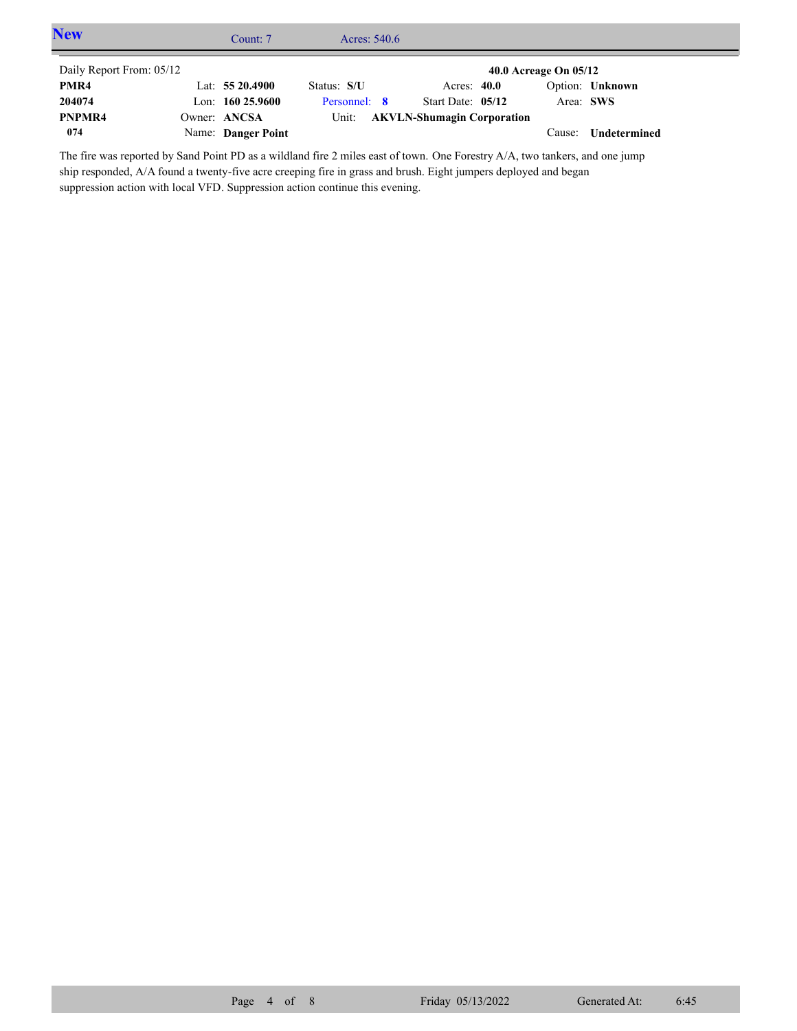| <b>New</b>               | Count: 7           | Acres: $540.6$ |                                   |                       |                     |  |
|--------------------------|--------------------|----------------|-----------------------------------|-----------------------|---------------------|--|
| Daily Report From: 05/12 |                    |                |                                   | 40.0 Acreage On 05/12 |                     |  |
| PMR4                     | Lat: $5520.4900$   | Status: S/U    | Acres: $40.0$                     |                       | Option: Unknown     |  |
| 204074                   | Lon: $16025.9600$  | Personnel: 8   | Start Date: 05/12                 |                       | Area: SWS           |  |
| PNPMR4                   | Owner: ANCSA       | Unit:          | <b>AKVLN-Shumagin Corporation</b> |                       |                     |  |
| 074                      | Name: Danger Point |                |                                   | Cause:                | <b>Undetermined</b> |  |

The fire was reported by Sand Point PD as a wildland fire 2 miles east of town. One Forestry A/A, two tankers, and one jump ship responded, A/A found a twenty-five acre creeping fire in grass and brush. Eight jumpers deployed and began suppression action with local VFD. Suppression action continue this evening.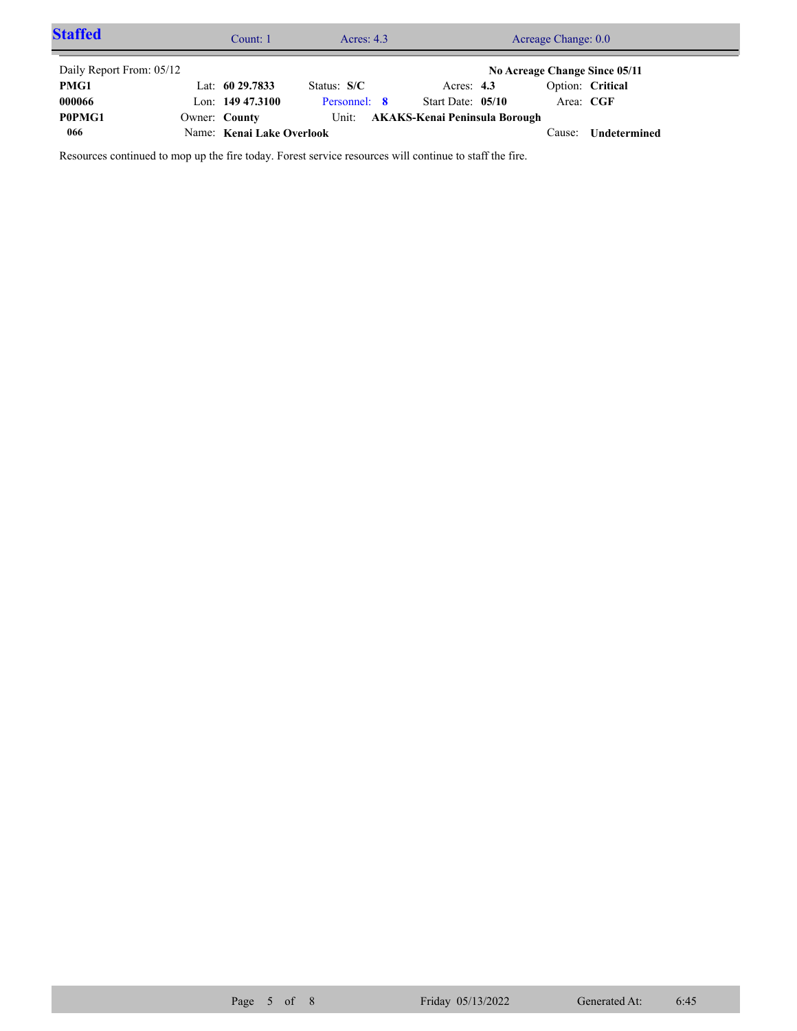| <b>Staffed</b>           |               | Count: 1                  | Acres: $4.3$ |                               | Acreage Change: 0.0           |                     |  |
|--------------------------|---------------|---------------------------|--------------|-------------------------------|-------------------------------|---------------------|--|
| Daily Report From: 05/12 |               |                           |              |                               | No Acreage Change Since 05/11 |                     |  |
| PMG1                     |               | Lat: $6029.7833$          | Status: S/C  | Acres: $4.3$                  |                               | Option: Critical    |  |
| 000066                   |               | Lon: $149\,47.3100$       | Personnel: 8 | Start Date: 05/10             | Area: CGF                     |                     |  |
| P0PMG1                   | Owner: County |                           | Unit:        | AKAKS-Kenai Peninsula Borough |                               |                     |  |
| 066                      |               | Name: Kenai Lake Overlook |              |                               | L'ause:                       | <b>Undetermined</b> |  |

Resources continued to mop up the fire today. Forest service resources will continue to staff the fire.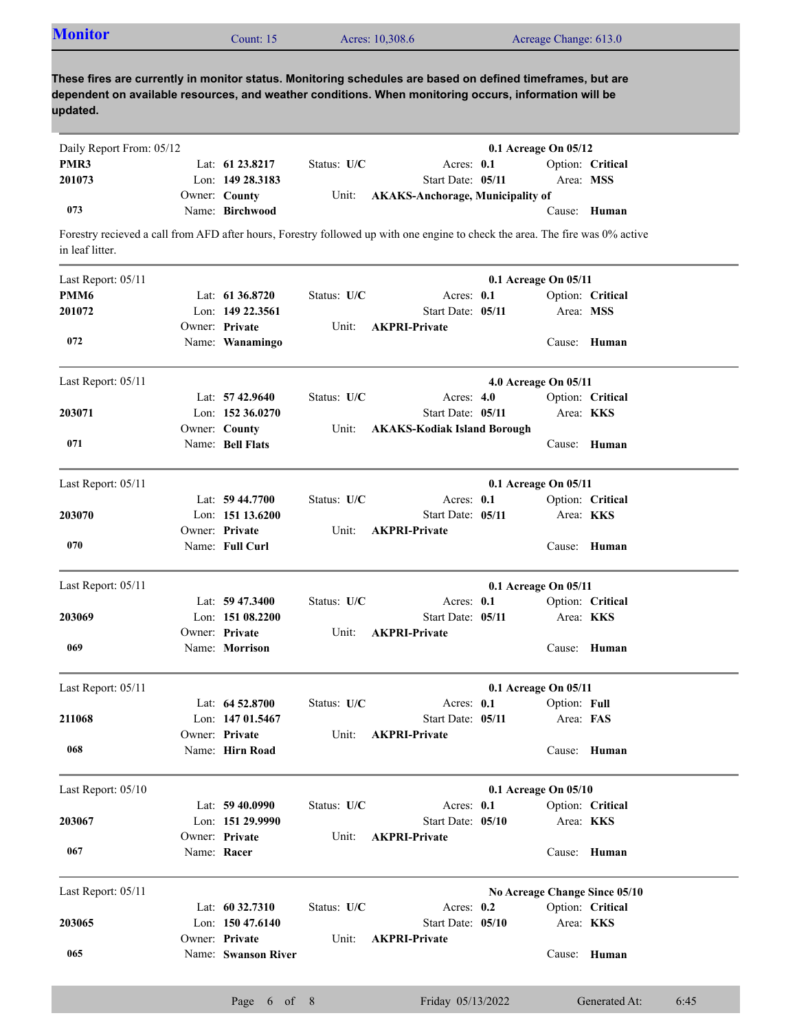|  | <b>Monitor</b><br>Acres: 10,308.6<br>Acreage Change: 613.0<br>Count: 15 |  |
|--|-------------------------------------------------------------------------|--|
|--|-------------------------------------------------------------------------|--|

**These fires are currently in monitor status. Monitoring schedules are based on defined timeframes, but are dependent on available resources, and weather conditions. When monitoring occurs, information will be updated.**

| Daily Report From: 05/12 |                     |               |                                        | $0.1$ Acreage On $05/12$ |                  |
|--------------------------|---------------------|---------------|----------------------------------------|--------------------------|------------------|
| PMR3                     | Lat: $61\,23.8217$  | Status: $U/C$ | Acres: $0.1$                           |                          | Option: Critical |
| 201073                   | Lon: $149\,28.3183$ |               | Start Date: 05/11                      |                          | Area: MSS        |
|                          | Owner: County       |               | Unit: AKAKS-Anchorage, Municipality of |                          |                  |
| 073                      | Name: Birchwood     |               |                                        |                          | Cause: Human     |

Forestry recieved a call from AFD after hours, Forestry followed up with one engine to check the area. The fire was 0% active in leaf litter.

| Last Report: 05/11 |             |                     |             |                                    | 0.1 Acreage On 05/11 |                               |
|--------------------|-------------|---------------------|-------------|------------------------------------|----------------------|-------------------------------|
| PMM <sub>6</sub>   |             | Lat: $61\,36.8720$  | Status: U/C | Acres: 0.1                         |                      | Option: Critical              |
| 201072             |             | Lon: 149 22.3561    |             | Start Date: 05/11                  | Area: MSS            |                               |
|                    |             | Owner: Private      | Unit:       | <b>AKPRI-Private</b>               |                      |                               |
| 072                |             | Name: Wanamingo     |             |                                    |                      | Cause: Human                  |
| Last Report: 05/11 |             |                     |             |                                    | 4.0 Acreage On 05/11 |                               |
|                    |             | Lat: $57\,42.9640$  | Status: U/C | Acres: $4.0$                       |                      | Option: Critical              |
| 203071             |             | Lon: 152 36.0270    |             | Start Date: 05/11                  |                      | Area: KKS                     |
|                    |             | Owner: County       | Unit:       | <b>AKAKS-Kodiak Island Borough</b> |                      |                               |
| 071                |             | Name: Bell Flats    |             |                                    |                      | Cause: Human                  |
| Last Report: 05/11 |             |                     |             |                                    | 0.1 Acreage On 05/11 |                               |
|                    |             | Lat: $59\,44.7700$  | Status: U/C | Acres: 0.1                         |                      | Option: Critical              |
| 203070             |             | Lon: 151 13.6200    |             | Start Date: 05/11                  |                      | Area: <b>KKS</b>              |
|                    |             | Owner: Private      | Unit:       | <b>AKPRI-Private</b>               |                      |                               |
| 070                |             | Name: Full Curl     |             |                                    |                      | Cause: Human                  |
| Last Report: 05/11 |             |                     |             |                                    | 0.1 Acreage On 05/11 |                               |
|                    |             | Lat: $59\,47.3400$  | Status: U/C | Acres: 0.1                         |                      | Option: Critical              |
| 203069             |             | Lon: $15108.2200$   |             | Start Date: 05/11                  |                      | Area: KKS                     |
|                    |             | Owner: Private      | Unit:       | <b>AKPRI-Private</b>               |                      |                               |
| 069                |             | Name: Morrison      |             |                                    |                      | Cause: Human                  |
| Last Report: 05/11 |             |                     |             |                                    | 0.1 Acreage On 05/11 |                               |
|                    |             | Lat: $64\,52.8700$  | Status: U/C | Acres: 0.1                         | Option: Full         |                               |
| 211068             |             | Lon: 147 01.5467    |             | Start Date: 05/11                  | Area: FAS            |                               |
|                    |             | Owner: Private      | Unit:       | <b>AKPRI-Private</b>               |                      |                               |
| 068                |             | Name: Hirn Road     |             |                                    |                      | Cause: Human                  |
| Last Report: 05/10 |             |                     |             |                                    | 0.1 Acreage On 05/10 |                               |
|                    |             | Lat: $59\,40.0990$  | Status: U/C | Acres: 0.1                         |                      | Option: Critical              |
| 203067             |             | Lon: 151 29.9990    |             | Start Date: 05/10                  |                      | Area: <b>KKS</b>              |
|                    |             | Owner: Private      | Unit:       | <b>AKPRI-Private</b>               |                      |                               |
| 067                | Name: Racer |                     |             |                                    |                      | Cause: Human                  |
| Last Report: 05/11 |             |                     |             |                                    |                      | No Acreage Change Since 05/10 |
|                    |             | Lat: 60 32.7310     | Status: U/C | Acres: 0.2                         |                      | Option: Critical              |
| 203065             |             | Lon: $15047.6140$   |             | Start Date: 05/10                  |                      | Area: KKS                     |
|                    |             | Owner: Private      | Unit:       | <b>AKPRI-Private</b>               |                      |                               |
| 065                |             | Name: Swanson River |             |                                    |                      | Cause: Human                  |
|                    |             |                     |             |                                    |                      |                               |

Page 6 of 8 Friday 05/13/2022 Generated At: 6:45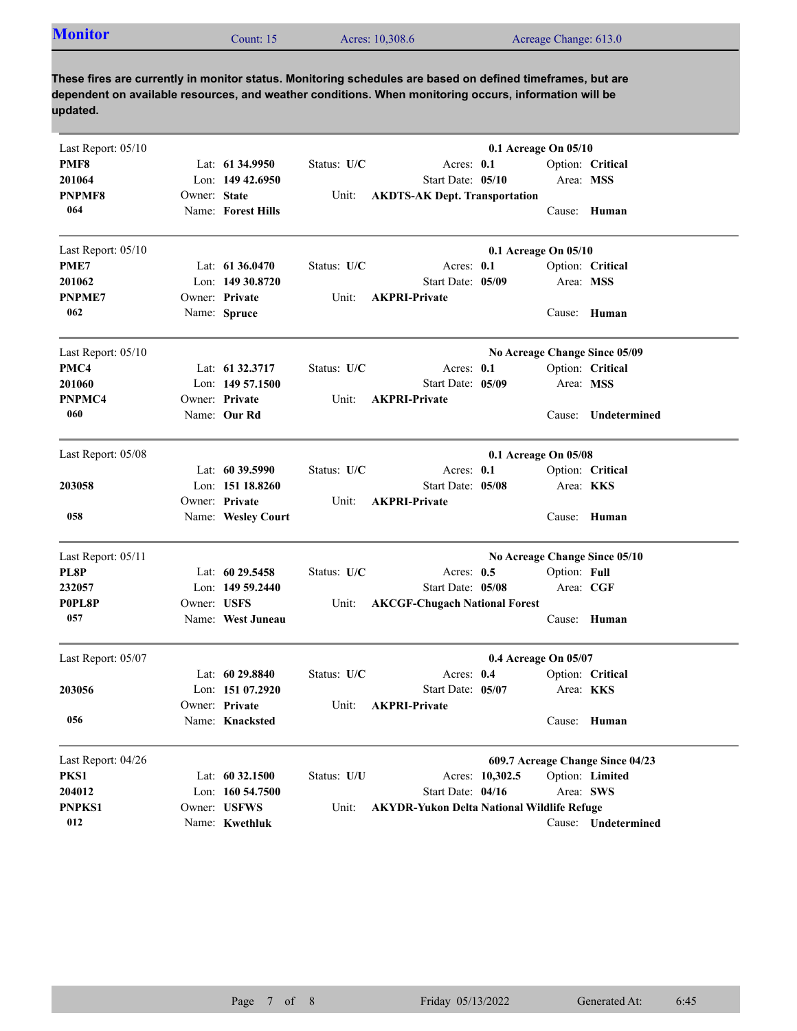| <b>Monitor</b><br>Acres: 10,308.6<br>Acreage Change: 613.0<br>Count: 15 |  |
|-------------------------------------------------------------------------|--|

**These fires are currently in monitor status. Monitoring schedules are based on defined timeframes, but are dependent on available resources, and weather conditions. When monitoring occurs, information will be updated.**

| Last Report: 05/10 |                      |                      |             | 0.1 Acreage On 05/10                              |                                  |                     |  |  |
|--------------------|----------------------|----------------------|-------------|---------------------------------------------------|----------------------------------|---------------------|--|--|
| PMF8               |                      | Lat: $61\,34.9950$   | Status: U/C | Acres: $0.1$                                      |                                  | Option: Critical    |  |  |
| 201064             |                      | Lon: $14942.6950$    |             | Start Date: 05/10                                 | Area: MSS                        |                     |  |  |
| <b>PNPMF8</b>      | Owner: State         |                      | Unit:       | <b>AKDTS-AK Dept. Transportation</b>              |                                  |                     |  |  |
| 064                |                      | Name: Forest Hills   |             |                                                   |                                  | Cause: Human        |  |  |
| Last Report: 05/10 |                      |                      |             |                                                   | 0.1 Acreage On 05/10             |                     |  |  |
| PME7               |                      | Lat: $61\,36.0470$   | Status: U/C | Acres: 0.1                                        |                                  | Option: Critical    |  |  |
| 201062             |                      | Lon: 149 30.8720     |             | Start Date: 05/09                                 | Area: MSS                        |                     |  |  |
| <b>PNPME7</b>      |                      | Owner: Private       | Unit:       | <b>AKPRI-Private</b>                              |                                  |                     |  |  |
| 062                |                      | Name: Spruce         |             |                                                   | Cause: Human                     |                     |  |  |
| Last Report: 05/10 |                      |                      |             |                                                   | No Acreage Change Since 05/09    |                     |  |  |
| PMC4               |                      | Lat: 61 32.3717      | Status: U/C | Acres: 0.1                                        |                                  | Option: Critical    |  |  |
| 201060             |                      | Lon: 149 57.1500     |             | Start Date: 05/09                                 | Area: MSS                        |                     |  |  |
| PNPMC4             |                      | Owner: Private       | Unit:       | <b>AKPRI-Private</b>                              |                                  |                     |  |  |
| 060                |                      | Name: Our Rd         |             |                                                   | Cause:                           | Undetermined        |  |  |
| Last Report: 05/08 | 0.1 Acreage On 05/08 |                      |             |                                                   |                                  |                     |  |  |
|                    |                      | Lat: $60\,39.5990$   | Status: U/C | Acres: $0.1$                                      |                                  | Option: Critical    |  |  |
| 203058             |                      | Lon: 151 18.8260     |             | Start Date: 05/08                                 | Area: KKS                        |                     |  |  |
|                    |                      | Owner: Private       | Unit:       | <b>AKPRI-Private</b>                              |                                  |                     |  |  |
| 058                |                      | Name: Wesley Court   |             |                                                   | Cause:                           | Human               |  |  |
| Last Report: 05/11 |                      |                      |             |                                                   | No Acreage Change Since 05/10    |                     |  |  |
| PL8P               |                      | Lat: $60\,29.5458$   | Status: U/C | Acres: $0.5$                                      | Option: Full                     |                     |  |  |
| 232057             |                      | Lon: $14959.2440$    |             | Start Date: 05/08                                 | Area: CGF                        |                     |  |  |
| P0PL8P             | Owner: USFS          |                      | Unit:       | <b>AKCGF-Chugach National Forest</b>              |                                  |                     |  |  |
| 057                |                      | Name: West Juneau    |             |                                                   | Cause:                           | Human               |  |  |
| Last Report: 05/07 |                      | 0.4 Acreage On 05/07 |             |                                                   |                                  |                     |  |  |
|                    |                      | Lat: $6029.8840$     | Status: U/C | Acres: $0.4$                                      |                                  | Option: Critical    |  |  |
| 203056             |                      | Lon: 151 07.2920     |             | Start Date: 05/07                                 | Area: <b>KKS</b>                 |                     |  |  |
|                    |                      | Owner: Private       | Unit:       | <b>AKPRI-Private</b>                              |                                  |                     |  |  |
| 056                |                      | Name: Knacksted      |             |                                                   | Cause: Human                     |                     |  |  |
| Last Report: 04/26 |                      |                      |             |                                                   | 609.7 Acreage Change Since 04/23 |                     |  |  |
| PKS1               |                      | Lat: 60 32.1500      | Status: U/U | Acres: 10,302.5                                   |                                  | Option: Limited     |  |  |
| 204012             |                      | Lon: 160 54.7500     |             | Start Date: 04/16                                 | Area: SWS                        |                     |  |  |
| PNPKS1             |                      | Owner: USFWS         | Unit:       | <b>AKYDR-Yukon Delta National Wildlife Refuge</b> |                                  |                     |  |  |
| 012                |                      | Name: Kwethluk       |             |                                                   |                                  | Cause: Undetermined |  |  |